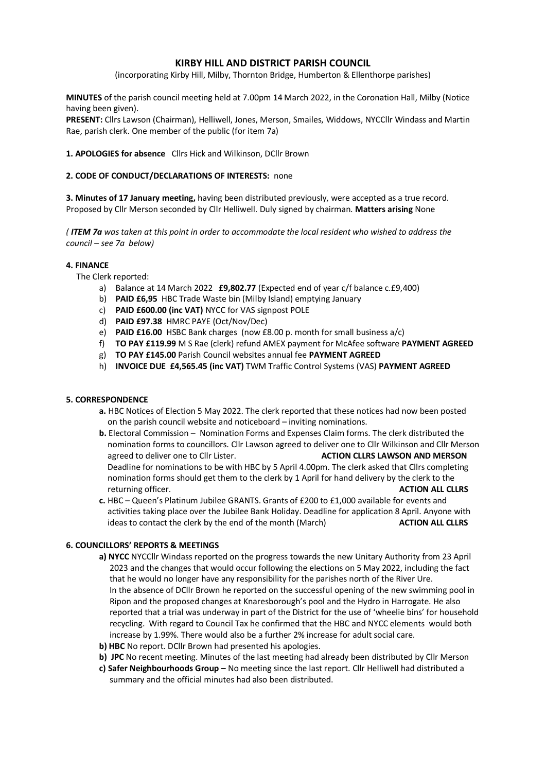# **KIRBY HILL AND DISTRICT PARISH COUNCIL**

(incorporating Kirby Hill, Milby, Thornton Bridge, Humberton & Ellenthorpe parishes)

**MINUTES** of the parish council meeting held at 7.00pm 14 March 2022, in the Coronation Hall, Milby (Notice having been given).

**PRESENT:** Cllrs Lawson (Chairman), Helliwell, Jones, Merson, Smailes, Widdows, NYCCllr Windass and Martin Rae, parish clerk. One member of the public (for item 7a)

### **1. APOLOGIES for absence** Cllrs Hick and Wilkinson, DCllr Brown

### **2. CODE OF CONDUCT/DECLARATIONS OF INTERESTS:** none

**3. Minutes of 17 January meeting,** having been distributed previously, were accepted as a true record. Proposed by Cllr Merson seconded by Cllr Helliwell. Duly signed by chairman. **Matters arising** None

*( ITEM 7a was taken at this point in order to accommodate the local resident who wished to address the council – see 7a below)*

### **4. FINANCE**

The Clerk reported:

- a) Balance at 14 March 2022 **£9,802.77** (Expected end of year c/f balance c.£9,400)
- b) **PAID £6,95** HBC Trade Waste bin (Milby Island) emptying January
- c) **PAID £600.00 (inc VAT)** NYCC for VAS signpost POLE
- d) **PAID £97.38** HMRC PAYE (Oct/Nov/Dec)
- e) **PAID £16.00** HSBC Bank charges (now £8.00 p. month for small business a/c)
- f) **TO PAY £119.99** M S Rae (clerk) refund AMEX payment for McAfee software **PAYMENT AGREED**
- g) **TO PAY £145.00** Parish Council websites annual fee **PAYMENT AGREED**
- h) **INVOICE DUE £4,565.45 (inc VAT)** TWM Traffic Control Systems (VAS) **PAYMENT AGREED**

### **5. CORRESPONDENCE**

- **a.** HBC Notices of Election 5 May 2022. The clerk reported that these notices had now been posted on the parish council website and noticeboard – inviting nominations.
- **b.** Electoral Commission Nomination Forms and Expenses Claim forms. The clerk distributed the nomination forms to councillors. Cllr Lawson agreed to deliver one to Cllr Wilkinson and Cllr Merson agreed to deliver one to Cllr Lister. **ACTION CLLRS LAWSON AND MERSON** Deadline for nominations to be with HBC by 5 April 4.00pm. The clerk asked that Cllrs completing nomination forms should get them to the clerk by 1 April for hand delivery by the clerk to the returning officer. **ACTION ALL CLLRS**
- **c.** HBC Queen's Platinum Jubilee GRANTS. Grants of £200 to £1,000 available for events and activities taking place over the Jubilee Bank Holiday. Deadline for application 8 April. Anyone with ideas to contact the clerk by the end of the month (March) **ACTION ALL CLLRS**

## **6. COUNCILLORS' REPORTS & MEETINGS**

- **a) NYCC** NYCCllr Windass reported on the progress towards the new Unitary Authority from 23 April 2023 and the changes that would occur following the elections on 5 May 2022, including the fact that he would no longer have any responsibility for the parishes north of the River Ure. In the absence of DCllr Brown he reported on the successful opening of the new swimming pool in Ripon and the proposed changes at Knaresborough's pool and the Hydro in Harrogate. He also reported that a trial was underway in part of the District for the use of 'wheelie bins' for household recycling. With regard to Council Tax he confirmed that the HBC and NYCC elements would both increase by 1.99%. There would also be a further 2% increase for adult social care.
- **b) HBC** No report. DCllr Brown had presented his apologies.
- **b) JPC** No recent meeting. Minutes of the last meeting had already been distributed by Cllr Merson
- **c) Safer Neighbourhoods Group –** No meeting since the last report. Cllr Helliwell had distributed a summary and the official minutes had also been distributed.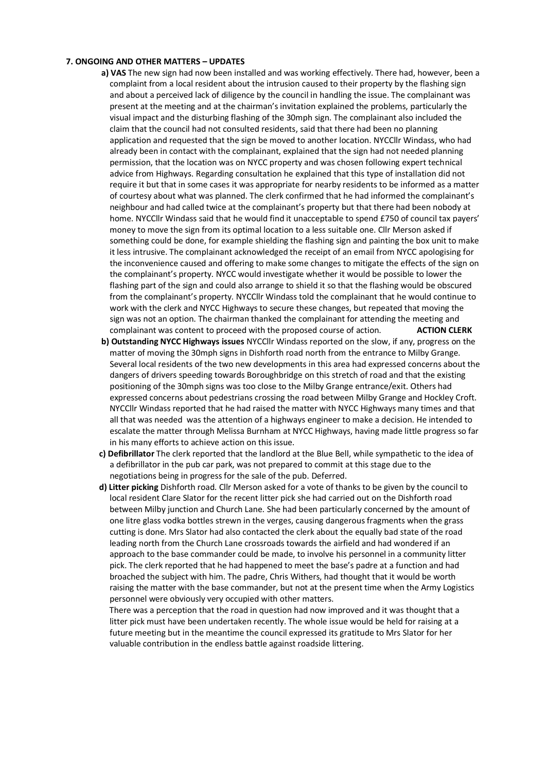#### **7. ONGOING AND OTHER MATTERS – UPDATES**

- **a) VAS** The new sign had now been installed and was working effectively. There had, however, been a complaint from a local resident about the intrusion caused to their property by the flashing sign and about a perceived lack of diligence by the council in handling the issue. The complainant was present at the meeting and at the chairman's invitation explained the problems, particularly the visual impact and the disturbing flashing of the 30mph sign. The complainant also included the claim that the council had not consulted residents, said that there had been no planning application and requested that the sign be moved to another location. NYCCllr Windass, who had already been in contact with the complainant, explained that the sign had not needed planning permission, that the location was on NYCC property and was chosen following expert technical advice from Highways. Regarding consultation he explained that this type of installation did not require it but that in some cases it was appropriate for nearby residents to be informed as a matter of courtesy about what was planned. The clerk confirmed that he had informed the complainant's neighbour and had called twice at the complainant's property but that there had been nobody at home. NYCCllr Windass said that he would find it unacceptable to spend £750 of council tax payers' money to move the sign from its optimal location to a less suitable one. Cllr Merson asked if something could be done, for example shielding the flashing sign and painting the box unit to make it less intrusive. The complainant acknowledged the receipt of an email from NYCC apologising for the inconvenience caused and offering to make some changes to mitigate the effects of the sign on the complainant's property. NYCC would investigate whether it would be possible to lower the flashing part of the sign and could also arrange to shield it so that the flashing would be obscured from the complainant's property. NYCCllr Windass told the complainant that he would continue to work with the clerk and NYCC Highways to secure these changes, but repeated that moving the sign was not an option. The chairman thanked the complainant for attending the meeting and complainant was content to proceed with the proposed course of action. **ACTION CLERK**
- **b) Outstanding NYCC Highways issues** NYCCllr Windass reported on the slow, if any, progress on the matter of moving the 30mph signs in Dishforth road north from the entrance to Milby Grange. Several local residents of the two new developments in this area had expressed concerns about the dangers of drivers speeding towards Boroughbridge on this stretch of road and that the existing positioning of the 30mph signs was too close to the Milby Grange entrance/exit. Others had expressed concerns about pedestrians crossing the road between Milby Grange and Hockley Croft. NYCCllr Windass reported that he had raised the matter with NYCC Highways many times and that all that was needed was the attention of a highways engineer to make a decision. He intended to escalate the matter through Melissa Burnham at NYCC Highways, having made little progress so far in his many efforts to achieve action on this issue.
- **c) Defibrillator** The clerk reported that the landlord at the Blue Bell, while sympathetic to the idea of a defibrillator in the pub car park, was not prepared to commit at this stage due to the negotiations being in progress for the sale of the pub. Deferred.
- **d) Litter picking** Dishforth road. Cllr Merson asked for a vote of thanks to be given by the council to local resident Clare Slator for the recent litter pick she had carried out on the Dishforth road between Milby junction and Church Lane. She had been particularly concerned by the amount of one litre glass vodka bottles strewn in the verges, causing dangerous fragments when the grass cutting is done. Mrs Slator had also contacted the clerk about the equally bad state of the road leading north from the Church Lane crossroads towards the airfield and had wondered if an approach to the base commander could be made, to involve his personnel in a community litter pick. The clerk reported that he had happened to meet the base's padre at a function and had broached the subject with him. The padre, Chris Withers, had thought that it would be worth raising the matter with the base commander, but not at the present time when the Army Logistics personnel were obviously very occupied with other matters.

 There was a perception that the road in question had now improved and it was thought that a litter pick must have been undertaken recently. The whole issue would be held for raising at a future meeting but in the meantime the council expressed its gratitude to Mrs Slator for her valuable contribution in the endless battle against roadside littering.